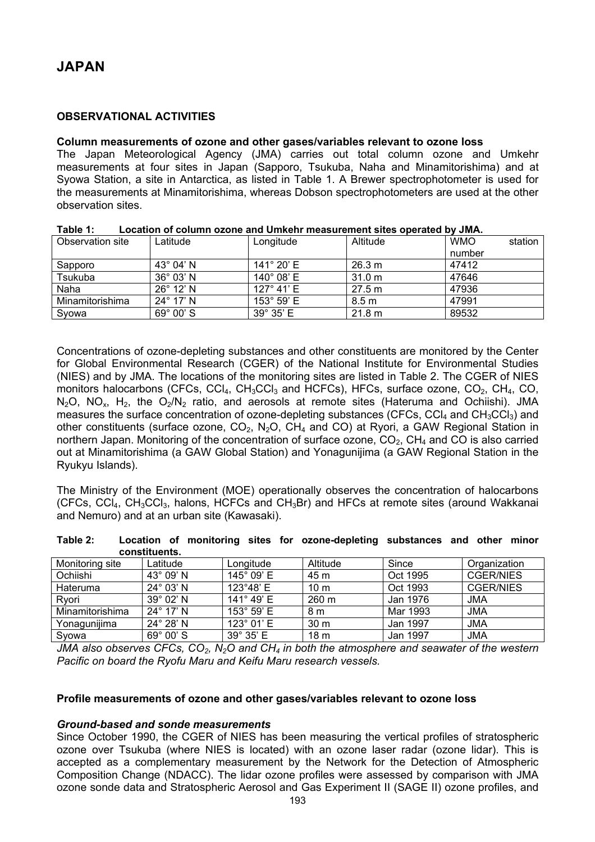# **OBSERVATIONAL ACTIVITIES**

### **Column measurements of ozone and other gases/variables relevant to ozone loss**

The Japan Meteorological Agency (JMA) carries out total column ozone and Umkehr measurements at four sites in Japan (Sapporo, Tsukuba, Naha and Minamitorishima) and at Syowa Station, a site in Antarctica, as listed in Table 1. A Brewer spectrophotometer is used for the measurements at Minamitorishima, whereas Dobson spectrophotometers are used at the other observation sites.

| Observation site | Latitude           | Longitude            | Altitude         | <b>WMO</b> | station |
|------------------|--------------------|----------------------|------------------|------------|---------|
|                  |                    |                      |                  | number     |         |
| Sapporo          | $43^{\circ}$ 04' N | 141 $^{\circ}$ 20' E | 26.3 m           | 47412      |         |
| Tsukuba          | $36^{\circ}$ 03' N | $140^{\circ}$ 08' E  | 31.0 m           | 47646      |         |
| Naha             | $26^{\circ}$ 12' N | $127^{\circ}$ 41' E  | 27.5 m           | 47936      |         |
| Minamitorishima  | $24^{\circ}$ 17' N | $153^{\circ} 59' E$  | 8.5 <sub>m</sub> | 47991      |         |
| Svowa            | $69^{\circ}$ 00' S | $39^{\circ} 35' E$   | 21.8 m           | 89532      |         |

#### **Table 1: Location of column ozone and Umkehr measurement sites operated by JMA.**

Concentrations of ozone-depleting substances and other constituents are monitored by the Center for Global Environmental Research (CGER) of the National Institute for Environmental Studies (NIES) and by JMA. The locations of the monitoring sites are listed in Table 2. The CGER of NIES monitors halocarbons (CFCs, CCl<sub>4</sub>, CH<sub>3</sub>CCl<sub>3</sub> and HCFCs), HFCs, surface ozone, CO<sub>2</sub>, CH<sub>4</sub>, CO,  $N_2O$ ,  $NO_x$ ,  $H_2$ , the  $O_2/N_2$  ratio, and aerosols at remote sites (Hateruma and Ochiishi). JMA measures the surface concentration of ozone-depleting substances (CFCs, CC $I_4$  and CH<sub>3</sub>CC $I_3$ ) and other constituents (surface ozone,  $CO<sub>2</sub>$ , N<sub>2</sub>O, CH<sub>4</sub> and CO) at Ryori, a GAW Regional Station in northern Japan. Monitoring of the concentration of surface ozone,  $CO<sub>2</sub>$ ,  $CH<sub>4</sub>$  and CO is also carried out at Minamitorishima (a GAW Global Station) and Yonagunijima (a GAW Regional Station in the Ryukyu Islands).

The Ministry of the Environment (MOE) operationally observes the concentration of halocarbons (CFCs, CCl<sub>4</sub>, CH<sub>3</sub>CCl<sub>3</sub>, halons, HCFCs and CH<sub>3</sub>Br) and HFCs at remote sites (around Wakkanai and Nemuro) and at an urban site (Kawasaki).

| .               |                    |            | $\sim$          |          |                  |  |  |
|-----------------|--------------------|------------|-----------------|----------|------------------|--|--|
| constituents.   |                    |            |                 |          |                  |  |  |
| Monitoring site | Latitude           | Longitude  | Altitude        | Since    | Organization     |  |  |
| Ochiishi        | 43° 09' N          | 145° 09' E | 45 m            | Oct 1995 | <b>CGER/NIES</b> |  |  |
| Hateruma        | 24° 03' N          | 123°48' E  | 10 <sub>m</sub> | Oct 1993 | <b>CGER/NIES</b> |  |  |
| Rvori           | 39° 02' N          | 141° 49' E | 260 m           | Jan 1976 | <b>JMA</b>       |  |  |
| Minamitorishima | $24^{\circ}$ 17' N | 153° 59' E | 8 m             | Mar 1993 | <b>JMA</b>       |  |  |
| Yonagunijima    | 24° 28' N          | 123° 01' E | 30 m            | Jan 1997 | <b>JMA</b>       |  |  |
| Svowa           | 69° 00' S          | 39° 35' E  | 18 <sub>m</sub> | Jan 1997 | <b>JMA</b>       |  |  |

| Table 2: |               |  |  | Location of monitoring sites for ozone-depleting substances and other minor |  |  |
|----------|---------------|--|--|-----------------------------------------------------------------------------|--|--|
|          | constituents. |  |  |                                                                             |  |  |

*JMA also observes CFCs, CO2, N2O and CH4 in both the atmosphere and seawater of the western Pacific on board the Ryofu Maru and Keifu Maru research vessels.* 

### **Profile measurements of ozone and other gases/variables relevant to ozone loss**

#### *Ground-based and sonde measurements*

Since October 1990, the CGER of NIES has been measuring the vertical profiles of stratospheric ozone over Tsukuba (where NIES is located) with an ozone laser radar (ozone lidar). This is accepted as a complementary measurement by the Network for the Detection of Atmospheric Composition Change (NDACC). The lidar ozone profiles were assessed by comparison with JMA ozone sonde data and Stratospheric Aerosol and Gas Experiment II (SAGE II) ozone profiles, and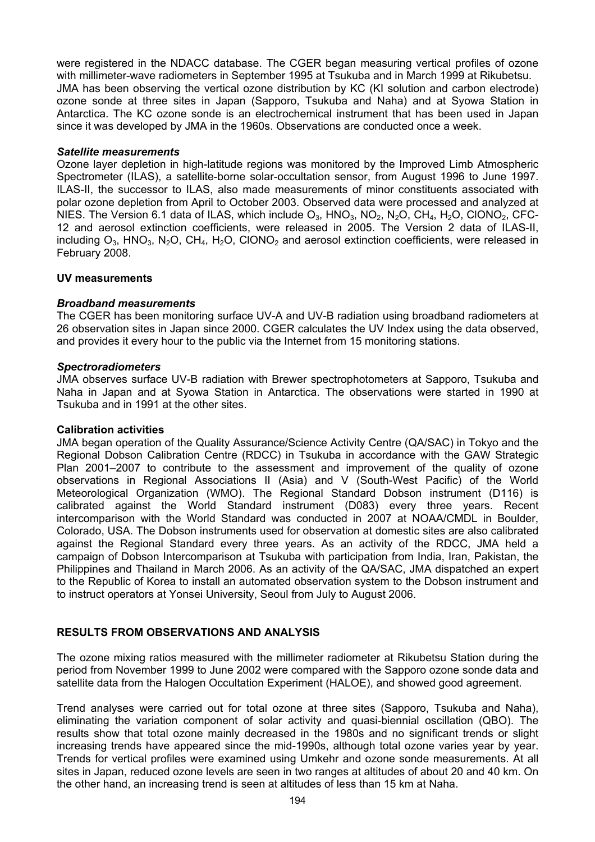were registered in the NDACC database. The CGER began measuring vertical profiles of ozone with millimeter-wave radiometers in September 1995 at Tsukuba and in March 1999 at Rikubetsu. JMA has been observing the vertical ozone distribution by KC (KI solution and carbon electrode) ozone sonde at three sites in Japan (Sapporo, Tsukuba and Naha) and at Syowa Station in Antarctica. The KC ozone sonde is an electrochemical instrument that has been used in Japan since it was developed by JMA in the 1960s. Observations are conducted once a week.

# *Satellite measurements*

Ozone layer depletion in high-latitude regions was monitored by the Improved Limb Atmospheric Spectrometer (ILAS), a satellite-borne solar-occultation sensor, from August 1996 to June 1997. ILAS-II, the successor to ILAS, also made measurements of minor constituents associated with polar ozone depletion from April to October 2003. Observed data were processed and analyzed at NIES. The Version 6.1 data of ILAS, which include  $O_3$ , HNO<sub>3</sub>, NO<sub>2</sub>, N<sub>2</sub>O, CH<sub>4</sub>, H<sub>2</sub>O, ClONO<sub>2</sub>, CFC-12 and aerosol extinction coefficients, were released in 2005. The Version 2 data of ILAS-II, including  $O_3$ , HNO<sub>3</sub>, N<sub>2</sub>O, CH<sub>4</sub>, H<sub>2</sub>O, ClONO<sub>2</sub> and aerosol extinction coefficients, were released in February 2008.

### **UV measurements**

### *Broadband measurements*

The CGER has been monitoring surface UV-A and UV-B radiation using broadband radiometers at 26 observation sites in Japan since 2000. CGER calculates the UV Index using the data observed, and provides it every hour to the public via the Internet from 15 monitoring stations.

### *Spectroradiometers*

JMA observes surface UV-B radiation with Brewer spectrophotometers at Sapporo, Tsukuba and Naha in Japan and at Syowa Station in Antarctica. The observations were started in 1990 at Tsukuba and in 1991 at the other sites.

### **Calibration activities**

JMA began operation of the Quality Assurance/Science Activity Centre (QA/SAC) in Tokyo and the Regional Dobson Calibration Centre (RDCC) in Tsukuba in accordance with the GAW Strategic Plan 2001–2007 to contribute to the assessment and improvement of the quality of ozone observations in Regional Associations II (Asia) and V (South-West Pacific) of the World Meteorological Organization (WMO). The Regional Standard Dobson instrument (D116) is calibrated against the World Standard instrument (D083) every three years. Recent intercomparison with the World Standard was conducted in 2007 at NOAA/CMDL in Boulder, Colorado, USA. The Dobson instruments used for observation at domestic sites are also calibrated against the Regional Standard every three years. As an activity of the RDCC, JMA held a campaign of Dobson Intercomparison at Tsukuba with participation from India, Iran, Pakistan, the Philippines and Thailand in March 2006. As an activity of the QA/SAC, JMA dispatched an expert to the Republic of Korea to install an automated observation system to the Dobson instrument and to instruct operators at Yonsei University, Seoul from July to August 2006.

# **RESULTS FROM OBSERVATIONS AND ANALYSIS**

The ozone mixing ratios measured with the millimeter radiometer at Rikubetsu Station during the period from November 1999 to June 2002 were compared with the Sapporo ozone sonde data and satellite data from the Halogen Occultation Experiment (HALOE), and showed good agreement.

Trend analyses were carried out for total ozone at three sites (Sapporo, Tsukuba and Naha), eliminating the variation component of solar activity and quasi-biennial oscillation (QBO). The results show that total ozone mainly decreased in the 1980s and no significant trends or slight increasing trends have appeared since the mid-1990s, although total ozone varies year by year. Trends for vertical profiles were examined using Umkehr and ozone sonde measurements. At all sites in Japan, reduced ozone levels are seen in two ranges at altitudes of about 20 and 40 km. On the other hand, an increasing trend is seen at altitudes of less than 15 km at Naha.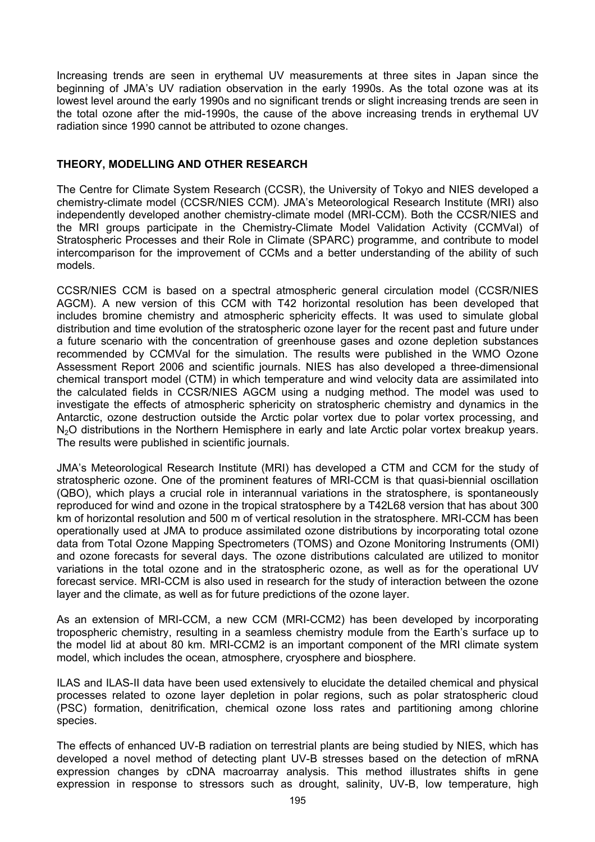Increasing trends are seen in erythemal UV measurements at three sites in Japan since the beginning of JMA's UV radiation observation in the early 1990s. As the total ozone was at its lowest level around the early 1990s and no significant trends or slight increasing trends are seen in the total ozone after the mid-1990s, the cause of the above increasing trends in erythemal UV radiation since 1990 cannot be attributed to ozone changes.

# **THEORY, MODELLING AND OTHER RESEARCH**

The Centre for Climate System Research (CCSR), the University of Tokyo and NIES developed a chemistry-climate model (CCSR/NIES CCM). JMA's Meteorological Research Institute (MRI) also independently developed another chemistry-climate model (MRI-CCM). Both the CCSR/NIES and the MRI groups participate in the Chemistry-Climate Model Validation Activity (CCMVal) of Stratospheric Processes and their Role in Climate (SPARC) programme, and contribute to model intercomparison for the improvement of CCMs and a better understanding of the ability of such models.

CCSR/NIES CCM is based on a spectral atmospheric general circulation model (CCSR/NIES AGCM). A new version of this CCM with T42 horizontal resolution has been developed that includes bromine chemistry and atmospheric sphericity effects. It was used to simulate global distribution and time evolution of the stratospheric ozone layer for the recent past and future under a future scenario with the concentration of greenhouse gases and ozone depletion substances recommended by CCMVal for the simulation. The results were published in the WMO Ozone Assessment Report 2006 and scientific journals. NIES has also developed a three-dimensional chemical transport model (CTM) in which temperature and wind velocity data are assimilated into the calculated fields in CCSR/NIES AGCM using a nudging method. The model was used to investigate the effects of atmospheric sphericity on stratospheric chemistry and dynamics in the Antarctic, ozone destruction outside the Arctic polar vortex due to polar vortex processing, and N<sub>2</sub>O distributions in the Northern Hemisphere in early and late Arctic polar vortex breakup years. The results were published in scientific journals.

JMA's Meteorological Research Institute (MRI) has developed a CTM and CCM for the study of stratospheric ozone. One of the prominent features of MRI-CCM is that quasi-biennial oscillation (QBO), which plays a crucial role in interannual variations in the stratosphere, is spontaneously reproduced for wind and ozone in the tropical stratosphere by a T42L68 version that has about 300 km of horizontal resolution and 500 m of vertical resolution in the stratosphere. MRI-CCM has been operationally used at JMA to produce assimilated ozone distributions by incorporating total ozone data from Total Ozone Mapping Spectrometers (TOMS) and Ozone Monitoring Instruments (OMI) and ozone forecasts for several days. The ozone distributions calculated are utilized to monitor variations in the total ozone and in the stratospheric ozone, as well as for the operational UV forecast service. MRI-CCM is also used in research for the study of interaction between the ozone layer and the climate, as well as for future predictions of the ozone layer.

As an extension of MRI-CCM, a new CCM (MRI-CCM2) has been developed by incorporating tropospheric chemistry, resulting in a seamless chemistry module from the Earth's surface up to the model lid at about 80 km. MRI-CCM2 is an important component of the MRI climate system model, which includes the ocean, atmosphere, cryosphere and biosphere.

ILAS and ILAS-II data have been used extensively to elucidate the detailed chemical and physical processes related to ozone layer depletion in polar regions, such as polar stratospheric cloud (PSC) formation, denitrification, chemical ozone loss rates and partitioning among chlorine species.

The effects of enhanced UV-B radiation on terrestrial plants are being studied by NIES, which has developed a novel method of detecting plant UV-B stresses based on the detection of mRNA expression changes by cDNA macroarray analysis. This method illustrates shifts in gene expression in response to stressors such as drought, salinity, UV-B, low temperature, high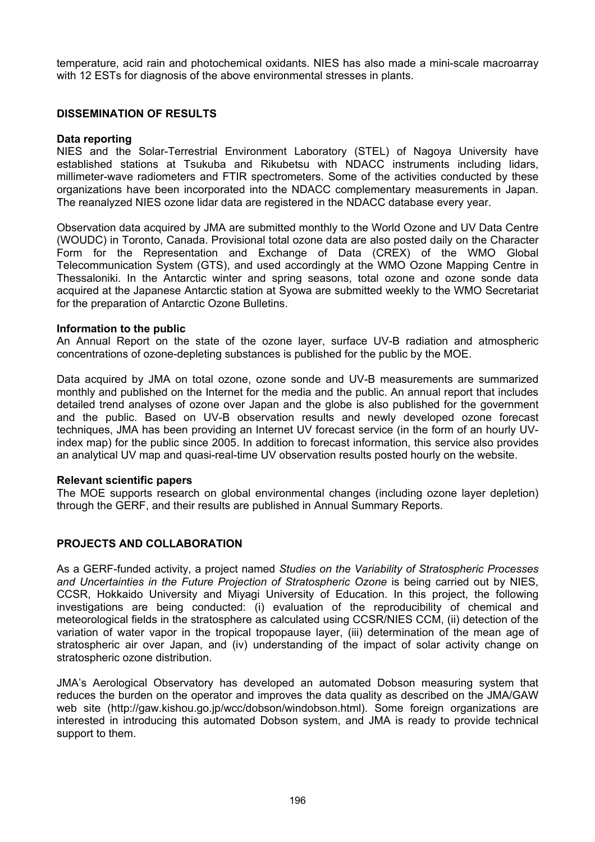temperature, acid rain and photochemical oxidants. NIES has also made a mini-scale macroarray with 12 ESTs for diagnosis of the above environmental stresses in plants.

# **DISSEMINATION OF RESULTS**

### **Data reporting**

NIES and the Solar-Terrestrial Environment Laboratory (STEL) of Nagoya University have established stations at Tsukuba and Rikubetsu with NDACC instruments including lidars, millimeter-wave radiometers and FTIR spectrometers. Some of the activities conducted by these organizations have been incorporated into the NDACC complementary measurements in Japan. The reanalyzed NIES ozone lidar data are registered in the NDACC database every year.

Observation data acquired by JMA are submitted monthly to the World Ozone and UV Data Centre (WOUDC) in Toronto, Canada. Provisional total ozone data are also posted daily on the Character Form for the Representation and Exchange of Data (CREX) of the WMO Global Telecommunication System (GTS), and used accordingly at the WMO Ozone Mapping Centre in Thessaloniki. In the Antarctic winter and spring seasons, total ozone and ozone sonde data acquired at the Japanese Antarctic station at Syowa are submitted weekly to the WMO Secretariat for the preparation of Antarctic Ozone Bulletins.

### **Information to the public**

An Annual Report on the state of the ozone layer, surface UV-B radiation and atmospheric concentrations of ozone-depleting substances is published for the public by the MOE.

Data acquired by JMA on total ozone, ozone sonde and UV-B measurements are summarized monthly and published on the Internet for the media and the public. An annual report that includes detailed trend analyses of ozone over Japan and the globe is also published for the government and the public. Based on UV-B observation results and newly developed ozone forecast techniques, JMA has been providing an Internet UV forecast service (in the form of an hourly UVindex map) for the public since 2005. In addition to forecast information, this service also provides an analytical UV map and quasi-real-time UV observation results posted hourly on the website.

### **Relevant scientific papers**

The MOE supports research on global environmental changes (including ozone layer depletion) through the GERF, and their results are published in Annual Summary Reports.

# **PROJECTS AND COLLABORATION**

As a GERF-funded activity, a project named *Studies on the Variability of Stratospheric Processes and Uncertainties in the Future Projection of Stratospheric Ozone* is being carried out by NIES, CCSR, Hokkaido University and Miyagi University of Education. In this project, the following investigations are being conducted: (i) evaluation of the reproducibility of chemical and meteorological fields in the stratosphere as calculated using CCSR/NIES CCM, (ii) detection of the variation of water vapor in the tropical tropopause layer, (iii) determination of the mean age of stratospheric air over Japan, and (iv) understanding of the impact of solar activity change on stratospheric ozone distribution.

JMA's Aerological Observatory has developed an automated Dobson measuring system that reduces the burden on the operator and improves the data quality as described on the JMA/GAW web site (http://gaw.kishou.go.jp/wcc/dobson/windobson.html). Some foreign organizations are interested in introducing this automated Dobson system, and JMA is ready to provide technical support to them.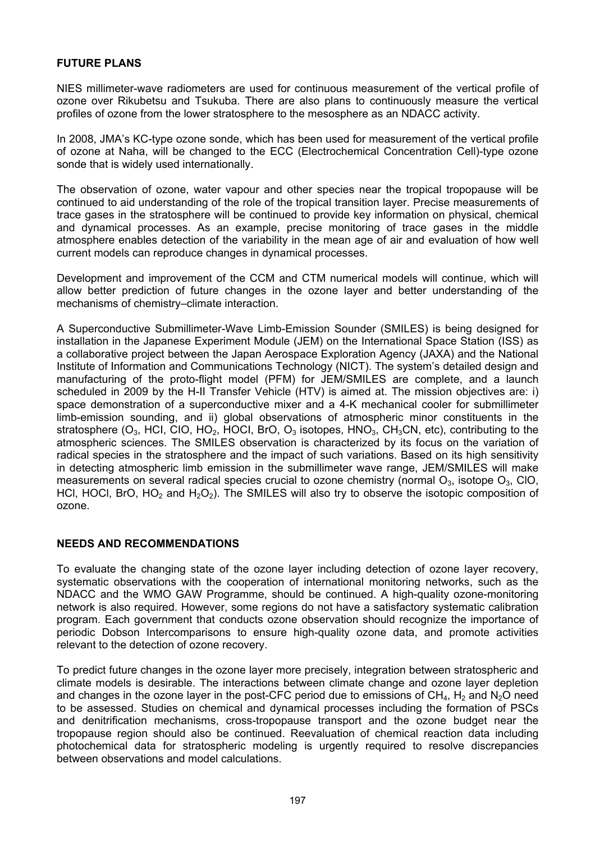# **FUTURE PLANS**

NIES millimeter-wave radiometers are used for continuous measurement of the vertical profile of ozone over Rikubetsu and Tsukuba. There are also plans to continuously measure the vertical profiles of ozone from the lower stratosphere to the mesosphere as an NDACC activity.

In 2008, JMA's KC-type ozone sonde, which has been used for measurement of the vertical profile of ozone at Naha, will be changed to the ECC (Electrochemical Concentration Cell)-type ozone sonde that is widely used internationally.

The observation of ozone, water vapour and other species near the tropical tropopause will be continued to aid understanding of the role of the tropical transition layer. Precise measurements of trace gases in the stratosphere will be continued to provide key information on physical, chemical and dynamical processes. As an example, precise monitoring of trace gases in the middle atmosphere enables detection of the variability in the mean age of air and evaluation of how well current models can reproduce changes in dynamical processes.

Development and improvement of the CCM and CTM numerical models will continue, which will allow better prediction of future changes in the ozone layer and better understanding of the mechanisms of chemistry–climate interaction.

A Superconductive Submillimeter-Wave Limb-Emission Sounder (SMILES) is being designed for installation in the Japanese Experiment Module (JEM) on the International Space Station (ISS) as a collaborative project between the Japan Aerospace Exploration Agency (JAXA) and the National Institute of Information and Communications Technology (NICT). The system's detailed design and manufacturing of the proto-flight model (PFM) for JEM/SMILES are complete, and a launch scheduled in 2009 by the H-II Transfer Vehicle (HTV) is aimed at. The mission objectives are: i) space demonstration of a superconductive mixer and a 4-K mechanical cooler for submillimeter limb-emission sounding, and ii) global observations of atmospheric minor constituents in the stratosphere ( $O_3$ , HCI, CIO, HO<sub>2</sub>, HOCI, BrO,  $O_3$  isotopes, HNO<sub>3</sub>, CH<sub>3</sub>CN, etc), contributing to the atmospheric sciences. The SMILES observation is characterized by its focus on the variation of radical species in the stratosphere and the impact of such variations. Based on its high sensitivity in detecting atmospheric limb emission in the submillimeter wave range, JEM/SMILES will make measurements on several radical species crucial to ozone chemistry (normal  $O_3$ , isotope  $O_3$ , ClO, HCl, HOCl, BrO, HO<sub>2</sub> and H<sub>2</sub>O<sub>2</sub>). The SMILES will also try to observe the isotopic composition of ozone.

# **NEEDS AND RECOMMENDATIONS**

To evaluate the changing state of the ozone layer including detection of ozone layer recovery, systematic observations with the cooperation of international monitoring networks, such as the NDACC and the WMO GAW Programme, should be continued. A high-quality ozone-monitoring network is also required. However, some regions do not have a satisfactory systematic calibration program. Each government that conducts ozone observation should recognize the importance of periodic Dobson Intercomparisons to ensure high-quality ozone data, and promote activities relevant to the detection of ozone recovery.

To predict future changes in the ozone layer more precisely, integration between stratospheric and climate models is desirable. The interactions between climate change and ozone layer depletion and changes in the ozone layer in the post-CFC period due to emissions of  $CH<sub>4</sub>$ , H<sub>2</sub> and N<sub>2</sub>O need to be assessed. Studies on chemical and dynamical processes including the formation of PSCs and denitrification mechanisms, cross-tropopause transport and the ozone budget near the tropopause region should also be continued. Reevaluation of chemical reaction data including photochemical data for stratospheric modeling is urgently required to resolve discrepancies between observations and model calculations.